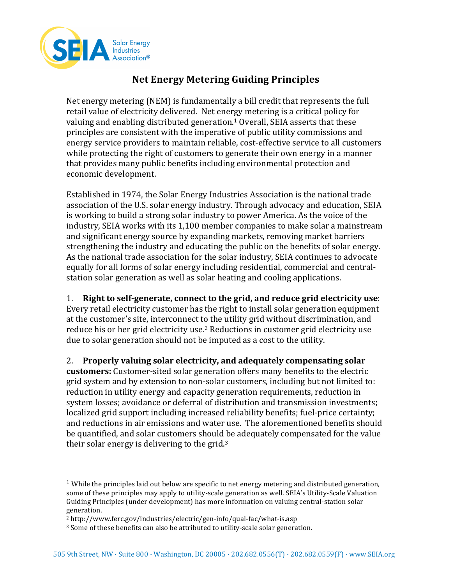

## **Net Energy Metering Guiding Principles**

Net energy metering  $(NEM)$  is fundamentally a bill credit that represents the full retail value of electricity delivered. Net energy metering is a critical policy for valuing and enabling distributed generation.<sup>1</sup> Overall, SEIA asserts that these principles are consistent with the imperative of public utility commissions and energy service providers to maintain reliable, cost-effective service to all customers while protecting the right of customers to generate their own energy in a manner that provides many public benefits including environmental protection and economic development.

Established in 1974, the Solar Energy Industries Association is the national trade association of the U.S. solar energy industry. Through advocacy and education, SEIA is working to build a strong solar industry to power America. As the voice of the industry, SEIA works with its 1,100 member companies to make solar a mainstream and significant energy source by expanding markets, removing market barriers strengthening the industry and educating the public on the benefits of solar energy. As the national trade association for the solar industry, SEIA continues to advocate equally for all forms of solar energy including residential, commercial and centralstation solar generation as well as solar heating and cooling applications.

1. **Right to self-generate, connect to the grid, and reduce grid electricity use:** Every retail electricity customer has the right to install solar generation equipment at the customer's site, interconnect to the utility grid without discrimination, and reduce his or her grid electricity use.<sup>2</sup> Reductions in customer grid electricity use due to solar generation should not be imputed as a cost to the utility.

2. Properly valuing solar electricity, and adequately compensating solar **customers:** Customer-sited solar generation offers many benefits to the electric grid system and by extension to non-solar customers, including but not limited to: reduction in utility energy and capacity generation requirements, reduction in system losses; avoidance or deferral of distribution and transmission investments; localized grid support including increased reliability benefits; fuel-price certainty; and reductions in air emissions and water use. The aforementioned benefits should be quantified, and solar customers should be adequately compensated for the value their solar energy is delivering to the grid.<sup>3</sup>

 

<sup>&</sup>lt;sup>1</sup> While the principles laid out below are specific to net energy metering and distributed generation, some of these principles may apply to utility-scale generation as well. SEIA's Utility-Scale Valuation Guiding Principles (under development) has more information on valuing central-station solar generation.

<sup>2</sup> http://www.ferc.gov/industries/electric/gen-info/qual-fac/what-is.asp

<sup>&</sup>lt;sup>3</sup> Some of these benefits can also be attributed to utility-scale solar generation.